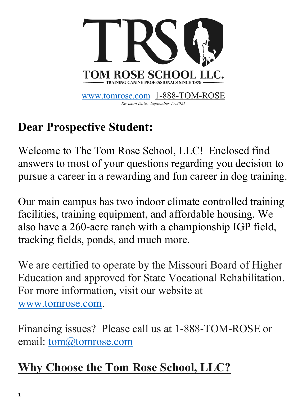

## **Dear Prospective Student:**

Welcome to The Tom Rose School, LLC! Enclosed find answers to most of your questions regarding you decision to pursue a career in a rewarding and fun career in dog training.

Our main campus has two indoor climate controlled training facilities, training equipment, and affordable housing. We also have a 260-acre ranch with a championship IGP field, tracking fields, ponds, and much more.

We are certified to operate by the Missouri Board of Higher Education and approved for State Vocational Rehabilitation. For more information, visit our website at www.tomrose.com.

Financing issues? Please call us at 1-888-TOM-ROSE or email: tom@tomrose.com

## **Why Choose the Tom Rose School, LLC?**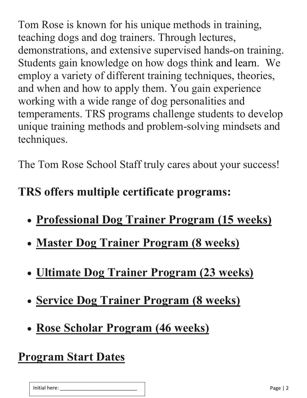Tom Rose is known for his unique methods in training, teaching dogs and dog trainers. Through lectures, demonstrations, and extensive supervised hands-on training. Students gain knowledge on how dogs think and learn. We employ a variety of different training techniques, theories, and when and how to apply them. You gain experience working with a wide range of dog personalities and temperaments. TRS programs challenge students to develop unique training methods and problem-solving mindsets and techniques.

The Tom Rose School Staff truly cares about your success!

## **TRS offers multiple certificate programs:**

- **Professional Dog Trainer Program (15 weeks)**
- **Master Dog Trainer Program (8 weeks)**
- **Ultimate Dog Trainer Program (23 weeks)**
- **Service Dog Trainer Program (8 weeks)**
- **Rose Scholar Program (46 weeks)**

### **Program Start Dates**

| Initial here: | -<br>$\sim$ $\sim$ $\sim$<br><b>AD</b> |
|---------------|----------------------------------------|
|---------------|----------------------------------------|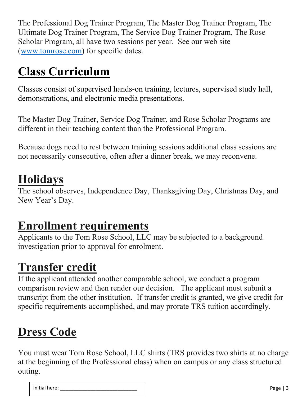The Professional Dog Trainer Program, The Master Dog Trainer Program, The Ultimate Dog Trainer Program, The Service Dog Trainer Program, The Rose Scholar Program, all have two sessions per year. See our web site (www.tomrose.com) for specific dates.

## **Class Curriculum**

Classes consist of supervised hands-on training, lectures, supervised study hall, demonstrations, and electronic media presentations.

The Master Dog Trainer, Service Dog Trainer, and Rose Scholar Programs are different in their teaching content than the Professional Program.

Because dogs need to rest between training sessions additional class sessions are not necessarily consecutive, often after a dinner break, we may reconvene.

## **Holidays**

The school observes, Independence Day, Thanksgiving Day, Christmas Day, and New Year's Day.

## **Enrollment requirements**

Applicants to the Tom Rose School, LLC may be subjected to a background investigation prior to approval for enrolment.

## **Transfer credit**

If the applicant attended another comparable school, we conduct a program comparison review and then render our decision. The applicant must submit a transcript from the other institution. If transfer credit is granted, we give credit for specific requirements accomplished, and may prorate TRS tuition accordingly.

### **Dress Code**

You must wear Tom Rose School, LLC shirts (TRS provides two shirts at no charge at the beginning of the Professional class) when on campus or any class structured outing.

| Init<br>าല<br>- |  |
|-----------------|--|
|                 |  |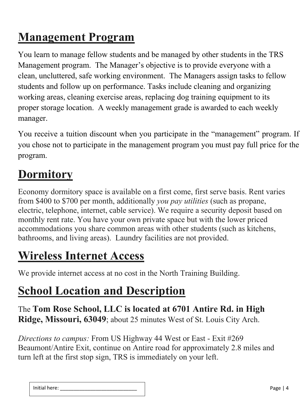## **Management Program**

You learn to manage fellow students and be managed by other students in the TRS Management program. The Manager's objective is to provide everyone with a clean, uncluttered, safe working environment. The Managers assign tasks to fellow students and follow up on performance. Tasks include cleaning and organizing working areas, cleaning exercise areas, replacing dog training equipment to its proper storage location. A weekly management grade is awarded to each weekly manager.

You receive a tuition discount when you participate in the "management" program. If you chose not to participate in the management program you must pay full price for the program.

## **Dormitory**

Economy dormitory space is available on a first come, first serve basis. Rent varies from \$400 to \$700 per month, additionally *you pay utilities* (such as propane, electric, telephone, internet, cable service). We require a security deposit based on monthly rent rate. You have your own private space but with the lower priced accommodations you share common areas with other students (such as kitchens, bathrooms, and living areas). Laundry facilities are not provided.

### **Wireless Internet Access**

We provide internet access at no cost in the North Training Building.

## **School Location and Description**

The **Tom Rose School, LLC is located at 6701 Antire Rd. in High Ridge, Missouri, 63049**; about 25 minutes West of St. Louis City Arch.

*Directions to campus:* From US Highway 44 West or East - Exit #269 Beaumont/Antire Exit, continue on Antire road for approximately 2.8 miles and turn left at the first stop sign, TRS is immediately on your left.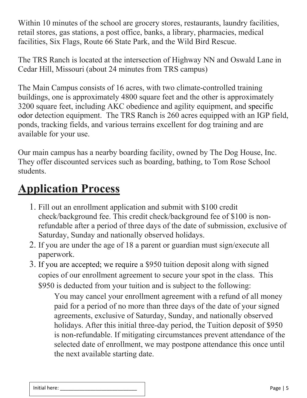Within 10 minutes of the school are grocery stores, restaurants, laundry facilities, retail stores, gas stations, a post office, banks, a library, pharmacies, medical facilities, Six Flags, Route 66 State Park, and the Wild Bird Rescue.

The TRS Ranch is located at the intersection of Highway NN and Oswald Lane in Cedar Hill, Missouri (about 24 minutes from TRS campus)

The Main Campus consists of 16 acres, with two climate-controlled training buildings, one is approximately 4800 square feet and the other is approximately 3200 square feet, including AKC obedience and agility equipment, and specific odor detection equipment. The TRS Ranch is 260 acres equipped with an IGP field, ponds, tracking fields, and various terrains excellent for dog training and are available for your use.

Our main campus has a nearby boarding facility, owned by The Dog House, Inc. They offer discounted services such as boarding, bathing, to Tom Rose School students.

## **Application Process**

- 1. Fill out an enrollment application and submit with \$100 credit check/background fee. This credit check/background fee of \$100 is nonrefundable after a period of three days of the date of submission, exclusive of Saturday, Sunday and nationally observed holidays.
- 2. If you are under the age of 18 a parent or guardian must sign/execute all paperwork.
- 3. If you are accepted; we require a \$950 tuition deposit along with signed copies of our enrollment agreement to secure your spot in the class. This \$950 is deducted from your tuition and is subject to the following:

You may cancel your enrollment agreement with a refund of all money paid for a period of no more than three days of the date of your signed agreements, exclusive of Saturday, Sunday, and nationally observed holidays. After this initial three-day period, the Tuition deposit of \$950 is non-refundable. If mitigating circumstances prevent attendance of the selected date of enrollment, we may postpone attendance this once until the next available starting date.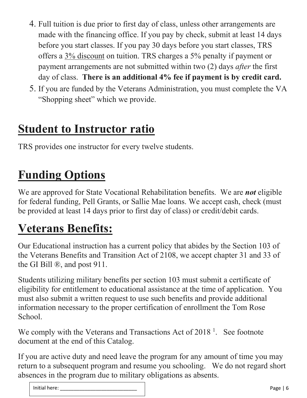- 4. Full tuition is due prior to first day of class, unless other arrangements are made with the financing office. If you pay by check, submit at least 14 days before you start classes. If you pay 30 days before you start classes, TRS offers a 3% discount on tuition. TRS charges a 5% penalty if payment or payment arrangements are not submitted within two (2) days *after* the first day of class. **There is an additional 4% fee if payment is by credit card.**
- 5. If you are funded by the Veterans Administration, you must complete the VA "Shopping sheet" which we provide.

### **Student to Instructor ratio**

TRS provides one instructor for every twelve students.

## **Funding Options**

We are approved for State Vocational Rehabilitation benefits. We are *not* eligible for federal funding, Pell Grants, or Sallie Mae loans. We accept cash, check (must be provided at least 14 days prior to first day of class) or credit/debit cards.

## **Veterans Benefits:**

Our Educational instruction has a current policy that abides by the Section 103 of the Veterans Benefits and Transition Act of 2108, we accept chapter 31 and 33 of the GI Bill ®, and post 911.

Students utilizing military benefits per section 103 must submit a certificate of eligibility for entitlement to educational assistance at the time of application. You must also submit a written request to use such benefits and provide additional information necessary to the proper certification of enrollment the Tom Rose School.

We comply with the Veterans and Transactions Act of  $2018<sup>1</sup>$ . See footnote document at the end of this Catalog.

If you are active duty and need leave the program for any amount of time you may return to a subsequent program and resume you schooling. We do not regard short absences in the program due to military obligations as absents.

| .<br>Initial<br>.<br>nere |  |
|---------------------------|--|
|                           |  |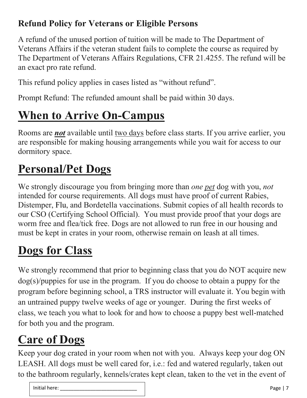#### **Refund Policy for Veterans or Eligible Persons**

A refund of the unused portion of tuition will be made to The Department of Veterans Affairs if the veteran student fails to complete the course as required by The Department of Veterans Affairs Regulations, CFR 21.4255. The refund will be an exact pro rate refund.

This refund policy applies in cases listed as "without refund".

Prompt Refund: The refunded amount shall be paid within 30 days.

# **When to Arrive On-Campus**

Rooms are *not* available until two days before class starts. If you arrive earlier, you are responsible for making housing arrangements while you wait for access to our dormitory space.

## **Personal/Pet Dogs**

We strongly discourage you from bringing more than *one pet* dog with you, *not* intended for course requirements. All dogs must have proof of current Rabies, Distemper, Flu, and Bordetella vaccinations. Submit copies of all health records to our CSO (Certifying School Official). You must provide proof that your dogs are worm free and flea/tick free. Dogs are not allowed to run free in our housing and must be kept in crates in your room, otherwise remain on leash at all times.

# **Dogs for Class**

We strongly recommend that prior to beginning class that you do NOT acquire new dog(s)/puppies for use in the program. If you do choose to obtain a puppy for the program before beginning school, a TRS instructor will evaluate it. You begin with an untrained puppy twelve weeks of age or younger. During the first weeks of class, we teach you what to look for and how to choose a puppy best well-matched for both you and the program.

# **Care of Dogs**

Keep your dog crated in your room when not with you. Always keep your dog ON LEASH. All dogs must be well cared for, i.e.: fed and watered regularly, taken out to the bathroom regularly, kennels/crates kept clean, taken to the vet in the event of

| Initi    | -   |
|----------|-----|
| $  -$    |     |
| ial nere |     |
| .        | . . |
|          |     |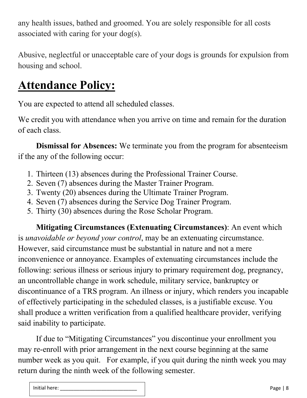any health issues, bathed and groomed. You are solely responsible for all costs associated with caring for your dog(s).

Abusive, neglectful or unacceptable care of your dogs is grounds for expulsion from housing and school.

## **Attendance Policy:**

You are expected to attend all scheduled classes.

We credit you with attendance when you arrive on time and remain for the duration of each class.

**Dismissal for Absences:** We terminate you from the program for absenteeism if the any of the following occur:

- 1. Thirteen (13) absences during the Professional Trainer Course.
- 2. Seven (7) absences during the Master Trainer Program.
- 3. Twenty (20) absences during the Ultimate Trainer Program.
- 4. Seven (7) absences during the Service Dog Trainer Program.
- 5. Thirty (30) absences during the Rose Scholar Program.

**Mitigating Circumstances (Extenuating Circumstances)**: An event which is *unavoidable or beyond your control*, may be an extenuating circumstance. However, said circumstance must be substantial in nature and not a mere inconvenience or annoyance. Examples of extenuating circumstances include the following: serious illness or serious injury to primary requirement dog, pregnancy, an uncontrollable change in work schedule, military service, bankruptcy or discontinuance of a TRS program. An illness or injury, which renders you incapable of effectively participating in the scheduled classes, is a justifiable excuse. You shall produce a written verification from a qualified healthcare provider, verifying said inability to participate.

If due to "Mitigating Circumstances" you discontinue your enrollment you may re-enroll with prior arrangement in the next course beginning at the same number week as you quit. For example, if you quit during the ninth week you may return during the ninth week of the following semester.

Initial here: \_\_\_\_\_\_\_\_\_\_\_\_\_\_\_\_\_\_\_\_\_\_\_\_\_\_\_\_ Page | 8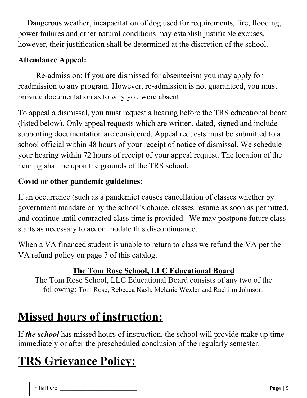Dangerous weather, incapacitation of dog used for requirements, fire, flooding, power failures and other natural conditions may establish justifiable excuses, however, their justification shall be determined at the discretion of the school.

#### **Attendance Appeal:**

Re-admission: If you are dismissed for absenteeism you may apply for readmission to any program. However, re-admission is not guaranteed, you must provide documentation as to why you were absent.

To appeal a dismissal, you must request a hearing before the TRS educational board (listed below). Only appeal requests which are written, dated, signed and include supporting documentation are considered. Appeal requests must be submitted to a school official within 48 hours of your receipt of notice of dismissal. We schedule your hearing within 72 hours of receipt of your appeal request. The location of the hearing shall be upon the grounds of the TRS school.

#### **Covid or other pandemic guidelines:**

If an occurrence (such as a pandemic) causes cancellation of classes whether by government mandate or by the school's choice, classes resume as soon as permitted, and continue until contracted class time is provided. We may postpone future class starts as necessary to accommodate this discontinuance.

When a VA financed student is unable to return to class we refund the VA per the VA refund policy on page 7 of this catalog.

#### **The Tom Rose School, LLC Educational Board**

The Tom Rose School, LLC Educational Board consists of any two of the following: Tom Rose, Rebecca Nash, Melanie Wexler and Rachiim Johnson.

## **Missed hours of instruction:**

If *the school* has missed hours of instruction, the school will provide make up time immediately or after the prescheduled conclusion of the regularly semester.

## **TRS Grievance Policy:**

| $\cdots$<br>−<br>__ |  |
|---------------------|--|
|---------------------|--|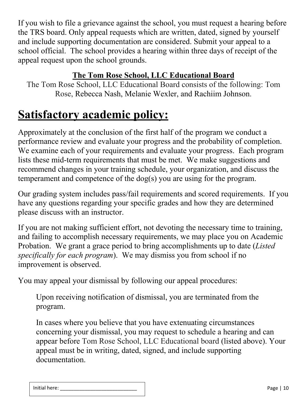If you wish to file a grievance against the school, you must request a hearing before the TRS board. Only appeal requests which are written, dated, signed by yourself and include supporting documentation are considered. Submit your appeal to a school official. The school provides a hearing within three days of receipt of the appeal request upon the school grounds.

#### **The Tom Rose School, LLC Educational Board**

The Tom Rose School, LLC Educational Board consists of the following: Tom Rose, Rebecca Nash, Melanie Wexler, and Rachiim Johnson.

### **Satisfactory academic policy:**

Approximately at the conclusion of the first half of the program we conduct a performance review and evaluate your progress and the probability of completion. We examine each of your requirements and evaluate your progress. Each program lists these mid-term requirements that must be met. We make suggestions and recommend changes in your training schedule, your organization, and discuss the temperament and competence of the dog(s) you are using for the program.

Our grading system includes pass/fail requirements and scored requirements. If you have any questions regarding your specific grades and how they are determined please discuss with an instructor.

If you are not making sufficient effort, not devoting the necessary time to training, and failing to accomplish necessary requirements, we may place you on Academic Probation. We grant a grace period to bring accomplishments up to date (*Listed specifically for each program*). We may dismiss you from school if no improvement is observed.

You may appeal your dismissal by following our appeal procedures:

Upon receiving notification of dismissal, you are terminated from the program.

In cases where you believe that you have extenuating circumstances concerning your dismissal, you may request to schedule a hearing and can appear before Tom Rose School, LLC Educational board (listed above). Your appeal must be in writing, dated, signed, and include supporting documentation.

| Initial here <sup>.</sup> | ay. |
|---------------------------|-----|
|                           | ס־  |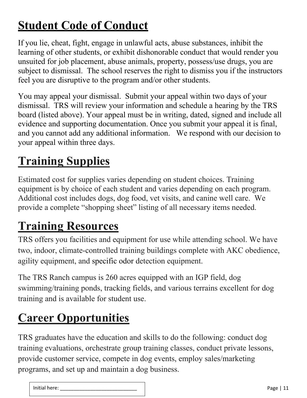## **Student Code of Conduct**

If you lie, cheat, fight, engage in unlawful acts, abuse substances, inhibit the learning of other students, or exhibit dishonorable conduct that would render you unsuited for job placement, abuse animals, property, possess/use drugs, you are subject to dismissal. The school reserves the right to dismiss you if the instructors feel you are disruptive to the program and/or other students.

You may appeal your dismissal. Submit your appeal within two days of your dismissal. TRS will review your information and schedule a hearing by the TRS board (listed above). Your appeal must be in writing, dated, signed and include all evidence and supporting documentation. Once you submit your appeal it is final, and you cannot add any additional information. We respond with our decision to your appeal within three days.

## **Training Supplies**

Estimated cost for supplies varies depending on student choices. Training equipment is by choice of each student and varies depending on each program. Additional cost includes dogs, dog food, vet visits, and canine well care. We provide a complete "shopping sheet" listing of all necessary items needed.

## **Training Resources**

TRS offers you facilities and equipment for use while attending school. We have two, indoor, climate-controlled training buildings complete with AKC obedience, agility equipment, and specific odor detection equipment.

The TRS Ranch campus is 260 acres equipped with an IGP field, dog swimming/training ponds, tracking fields, and various terrains excellent for dog training and is available for student use.

## **Career Opportunities**

TRS graduates have the education and skills to do the following: conduct dog training evaluations, orchestrate group training classes, conduct private lessons, provide customer service, compete in dog events, employ sales/marketing programs, and set up and maintain a dog business.

| .<br>iai nere.<br>.<br>. ت<br>______ | . |
|--------------------------------------|---|
|--------------------------------------|---|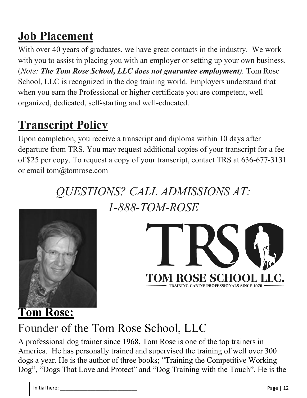## **Job Placement**

With over 40 years of graduates, we have great contacts in the industry. We work with you to assist in placing you with an employer or setting up your own business. (*Note: The Tom Rose School, LLC does not guarantee employment).* Tom Rose School, LLC is recognized in the dog training world. Employers understand that when you earn the Professional or higher certificate you are competent, well organized, dedicated, self-starting and well-educated.

## **Transcript Policy**

Upon completion, you receive a transcript and diploma within 10 days after departure from TRS. You may request additional copies of your transcript for a fee of \$25 per copy. To request a copy of your transcript, contact TRS at 636-677-3131 or email tom@tomrose.com

> *QUESTIONS? CALL ADMISSIONS AT: 1-888-TOM-ROSE*





## Founder of the Tom Rose School, LLC

A professional dog trainer since 1968, Tom Rose is one of the top trainers in America. He has personally trained and supervised the training of well over 300 dogs a year. He is the author of three books; "Training the Competitive Working Dog", "Dogs That Love and Protect" and "Dog Training with the Touch". He is the

| $\cdots$<br>cial here: .<br>nı<br>.<br>__ | Page |
|-------------------------------------------|------|
|-------------------------------------------|------|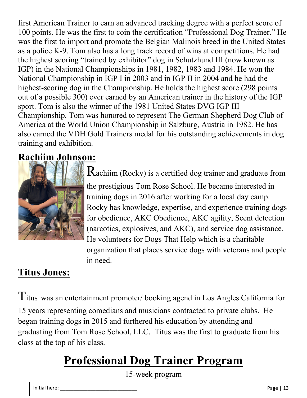first American Trainer to earn an advanced tracking degree with a perfect score of 100 points. He was the first to coin the certification "Professional Dog Trainer." He was the first to import and promote the Belgian Malinois breed in the United States as a police K-9. Tom also has a long track record of wins at competitions. He had the highest scoring "trained by exhibitor" dog in Schutzhund III (now known as IGP) in the National Championships in 1981, 1982, 1983 and 1984. He won the National Championship in IGP I in 2003 and in IGP II in 2004 and he had the highest-scoring dog in the Championship. He holds the highest score (298 points out of a possible 300) ever earned by an American trainer in the history of the IGP sport. Tom is also the winner of the 1981 United States DVG IGP III Championship. Tom was honored to represent The German Shepherd Dog Club of America at the World Union Championship in Salzburg, Austria in 1982. He has also earned the VDH Gold Trainers medal for his outstanding achievements in dog training and exhibition.

#### **Rachiim Johnson:**



Rachiim (Rocky) is a certified dog trainer and graduate from the prestigious Tom Rose School. He became interested in training dogs in 2016 after working for a local day camp. Rocky has knowledge, expertise, and experience training dogs for obedience, AKC Obedience, AKC agility, Scent detection (narcotics, explosives, and AKC), and service dog assistance. He volunteers for Dogs That Help which is a charitable organization that places service dogs with veterans and people in need.

#### **Titus Jones:**

Titus was an entertainment promoter/ booking agend in Los Angles California for 15 years representing comedians and musicians contracted to private clubs. He began training dogs in 2015 and furthered his education by attending and graduating from Tom Rose School, LLC. Titus was the first to graduate from his class at the top of his class.

## **Professional Dog Trainer Program**

15-week program

| Initial here: | Page |
|---------------|------|
|               |      |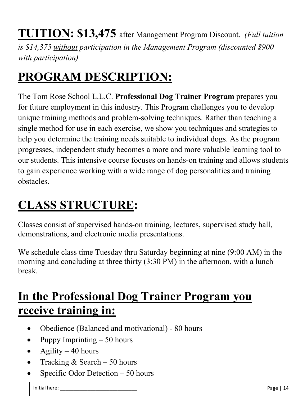**TUITION: \$13,475** after Management Program Discount. *(Full tuition is \$14,375 without participation in the Management Program (discounted \$900 with participation)*

## **PROGRAM DESCRIPTION:**

The Tom Rose School L.L.C. **Professional Dog Trainer Program** prepares you for future employment in this industry. This Program challenges you to develop unique training methods and problem-solving techniques. Rather than teaching a single method for use in each exercise, we show you techniques and strategies to help you determine the training needs suitable to individual dogs. As the program progresses, independent study becomes a more and more valuable learning tool to our students. This intensive course focuses on hands-on training and allows students to gain experience working with a wide range of dog personalities and training obstacles.

## **CLASS STRUCTURE:**

Classes consist of supervised hands-on training, lectures, supervised study hall, demonstrations, and electronic media presentations.

We schedule class time Tuesday thru Saturday beginning at nine (9:00 AM) in the morning and concluding at three thirty (3:30 PM) in the afternoon, with a lunch break.

### **In the Professional Dog Trainer Program you receive training in:**

- Obedience (Balanced and motivational) 80 hours
- Puppy Imprinting  $-50$  hours
- Agility  $-40$  hours
- Tracking  $& Search 50 hours$
- Specific Odor Detection  $-50$  hours

Initial here: \_\_\_\_\_\_\_\_\_\_\_\_\_\_\_\_\_\_\_\_\_\_\_\_\_\_\_\_ Page | 14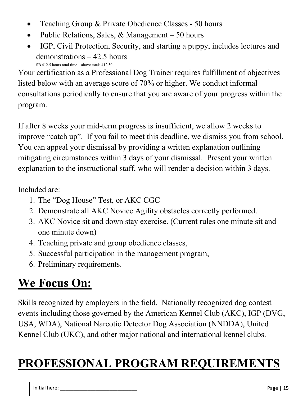- Teaching Group & Private Obedience Classes 50 hours
- Public Relations, Sales, & Management  $-50$  hours
- IGP, Civil Protection, Security, and starting a puppy, includes lectures and demonstrations – 42.5 hours SB 412.5 hours total time – above totals 412.50

Your certification as a Professional Dog Trainer requires fulfillment of objectives listed below with an average score of 70% or higher. We conduct informal consultations periodically to ensure that you are aware of your progress within the program.

If after 8 weeks your mid-term progress is insufficient, we allow 2 weeks to improve "catch up". If you fail to meet this deadline, we dismiss you from school. You can appeal your dismissal by providing a written explanation outlining mitigating circumstances within 3 days of your dismissal. Present your written explanation to the instructional staff, who will render a decision within 3 days.

Included are:

- 1. The "Dog House" Test, or AKC CGC
- 2. Demonstrate all AKC Novice Agility obstacles correctly performed.
- 3. AKC Novice sit and down stay exercise. (Current rules one minute sit and one minute down)
- 4. Teaching private and group obedience classes,
- 5. Successful participation in the management program,
- 6. Preliminary requirements.

# **We Focus On:**

Skills recognized by employers in the field. Nationally recognized dog contest events including those governed by the American Kennel Club (AKC), IGP (DVG, USA, WDA), National Narcotic Detector Dog Association (NNDDA), United Kennel Club (UKC), and other major national and international kennel clubs.

## **PROFESSIONAL PROGRAM REQUIREMENTS**

Initial here: \_\_\_\_\_\_\_\_\_\_\_\_\_\_\_\_\_\_\_\_\_\_\_\_\_\_\_\_ Page | 15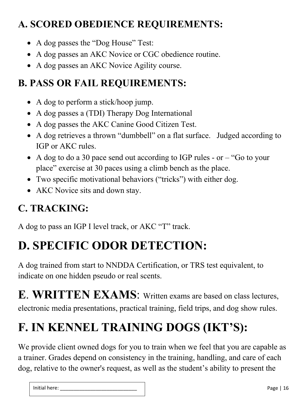#### **A. SCORED OBEDIENCE REQUIREMENTS:**

- A dog passes the "Dog House" Test:
- A dog passes an AKC Novice or CGC obedience routine.
- A dog passes an AKC Novice Agility course.

#### **B. PASS OR FAIL REQUIREMENTS:**

- A dog to perform a stick/hoop jump.
- A dog passes a (TDI) Therapy Dog International
- A dog passes the AKC Canine Good Citizen Test.
- A dog retrieves a thrown "dumbbell" on a flat surface. Judged according to IGP or AKC rules.
- A dog to do a 30 pace send out according to IGP rules or "Go to your" place" exercise at 30 paces using a climb bench as the place.
- Two specific motivational behaviors ("tricks") with either dog.
- AKC Novice sits and down stay.

### **C. TRACKING:**

A dog to pass an IGP I level track, or AKC "T" track.

# **D. SPECIFIC ODOR DETECTION:**

A dog trained from start to NNDDA Certification, or TRS test equivalent, to indicate on one hidden pseudo or real scents.

**E**. **WRITTEN EXAMS**: Written exams are based on class lectures, electronic media presentations, practical training, field trips, and dog show rules.

# **F. IN KENNEL TRAINING DOGS (IKT'S):**

We provide client owned dogs for you to train when we feel that you are capable as a trainer. Grades depend on consistency in the training, handling, and care of each dog, relative to the owner's request, as well as the student's ability to present the

| .<br>. de '<br>יס״<br>____<br>______________ | Initial here: |
|----------------------------------------------|---------------|
|----------------------------------------------|---------------|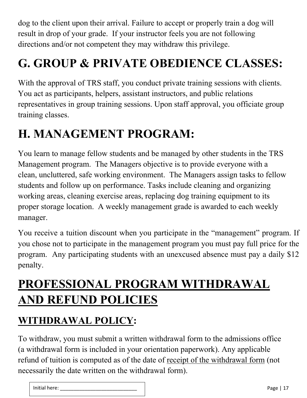dog to the client upon their arrival. Failure to accept or properly train a dog will result in drop of your grade. If your instructor feels you are not following directions and/or not competent they may withdraw this privilege.

## **G. GROUP & PRIVATE OBEDIENCE CLASSES:**

With the approval of TRS staff, you conduct private training sessions with clients. You act as participants, helpers, assistant instructors, and public relations representatives in group training sessions. Upon staff approval, you officiate group training classes.

## **H. MANAGEMENT PROGRAM:**

You learn to manage fellow students and be managed by other students in the TRS Management program. The Managers objective is to provide everyone with a clean, uncluttered, safe working environment. The Managers assign tasks to fellow students and follow up on performance. Tasks include cleaning and organizing working areas, cleaning exercise areas, replacing dog training equipment to its proper storage location. A weekly management grade is awarded to each weekly manager.

You receive a tuition discount when you participate in the "management" program. If you chose not to participate in the management program you must pay full price for the program. Any participating students with an unexcused absence must pay a daily \$12 penalty.

## **PROFESSIONAL PROGRAM WITHDRAWAL AND REFUND POLICIES**

#### **WITHDRAWAL POLICY:**

To withdraw, you must submit a written withdrawal form to the admissions office (a withdrawal form is included in your orientation paperwork). Any applicable refund of tuition is computed as of the date of receipt of the withdrawal form (not necessarily the date written on the withdrawal form).

| $\cdots$<br>Initial here: | Page |
|---------------------------|------|
|---------------------------|------|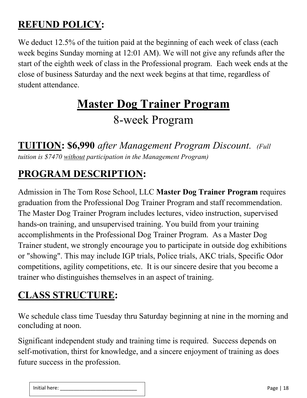#### **REFUND POLICY:**

We deduct 12.5% of the tuition paid at the beginning of each week of class (each week begins Sunday morning at 12:01 AM). We will not give any refunds after the start of the eighth week of class in the Professional program. Each week ends at the close of business Saturday and the next week begins at that time, regardless of student attendance.

## **Master Dog Trainer Program** 8-week Program

**TUITION: \$6,990** *after Management Program Discount. (Full tuition is \$7470 without participation in the Management Program)*

#### **PROGRAM DESCRIPTION:**

Admission in The Tom Rose School, LLC **Master Dog Trainer Program** requires graduation from the Professional Dog Trainer Program and staff recommendation. The Master Dog Trainer Program includes lectures, video instruction, supervised hands-on training, and unsupervised training. You build from your training accomplishments in the Professional Dog Trainer Program. As a Master Dog Trainer student, we strongly encourage you to participate in outside dog exhibitions or "showing". This may include IGP trials, Police trials, AKC trials, Specific Odor competitions, agility competitions, etc. It is our sincere desire that you become a trainer who distinguishes themselves in an aspect of training.

#### **CLASS STRUCTURE:**

We schedule class time Tuesday thru Saturday beginning at nine in the morning and concluding at noon.

Significant independent study and training time is required. Success depends on self-motivation, thirst for knowledge, and a sincere enjoyment of training as does future success in the profession.

|--|--|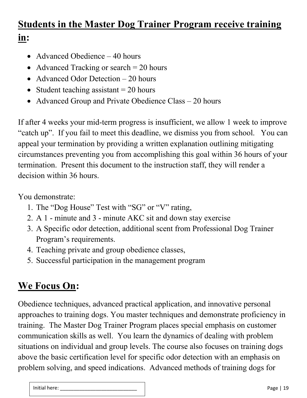#### **Students in the Master Dog Trainer Program receive training in:**

- Advanced Obedience 40 hours
- Advanced Tracking or search  $= 20$  hours
- Advanced Odor Detection 20 hours
- Student teaching assistant  $= 20$  hours
- Advanced Group and Private Obedience Class 20 hours

If after 4 weeks your mid-term progress is insufficient, we allow 1 week to improve "catch up". If you fail to meet this deadline, we dismiss you from school. You can appeal your termination by providing a written explanation outlining mitigating circumstances preventing you from accomplishing this goal within 36 hours of your termination. Present this document to the instruction staff, they will render a decision within 36 hours.

You demonstrate:

- 1. The "Dog House" Test with "SG" or "V" rating,
- 2. A 1 minute and 3 minute AKC sit and down stay exercise
- 3. A Specific odor detection, additional scent from Professional Dog Trainer Program's requirements.
- 4. Teaching private and group obedience classes,
- 5. Successful participation in the management program

### **We Focus On:**

Obedience techniques, advanced practical application, and innovative personal approaches to training dogs. You master techniques and demonstrate proficiency in training.The Master Dog Trainer Program places special emphasis on customer communication skills as well. You learn the dynamics of dealing with problem situations on individual and group levels. The course also focuses on training dogs above the basic certification level for specific odor detection with an emphasis on problem solving, and speed indications.Advanced methods of training dogs for

| $\cdots$<br><br>ial nere:<br>. | <u>.</u><br>age<br>and the control of the con- |
|--------------------------------|------------------------------------------------|
|--------------------------------|------------------------------------------------|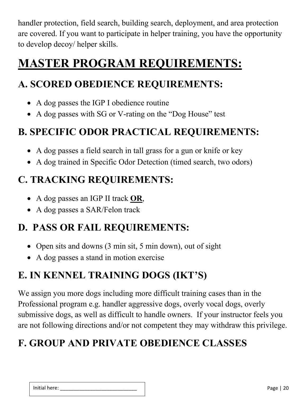handler protection, field search, building search, deployment, and area protection are covered. If you want to participate in helper training, you have the opportunity to develop decoy/ helper skills.

## **MASTER PROGRAM REQUIREMENTS:**

#### **A. SCORED OBEDIENCE REQUIREMENTS:**

- A dog passes the IGP I obedience routine
- A dog passes with SG or V-rating on the "Dog House" test

#### **B. SPECIFIC ODOR PRACTICAL REQUIREMENTS:**

- A dog passes a field search in tall grass for a gun or knife or key
- A dog trained in Specific Odor Detection (timed search, two odors)

#### **C. TRACKING REQUIREMENTS:**

- A dog passes an IGP II track **OR**,
- A dog passes a SAR/Felon track

#### **D. PASS OR FAIL REQUIREMENTS:**

- Open sits and downs (3 min sit, 5 min down), out of sight
- A dog passes a stand in motion exercise

### **E. IN KENNEL TRAINING DOGS (IKT'S)**

We assign you more dogs including more difficult training cases than in the Professional program e.g. handler aggressive dogs, overly vocal dogs, overly submissive dogs, as well as difficult to handle owners. If your instructor feels you are not following directions and/or not competent they may withdraw this privilege.

### **F. GROUP AND PRIVATE OBEDIENCE CLASSES**

| <br>، در ر<br>-<br>. | .<br>ae.<br>۰o<br>- |
|----------------------|---------------------|
|                      |                     |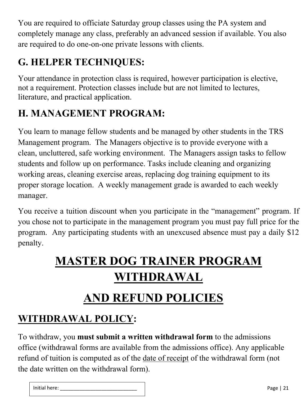You are required to officiate Saturday group classes using the PA system and completely manage any class, preferably an advanced session if available. You also are required to do one-on-one private lessons with clients.

### **G. HELPER TECHNIQUES:**

Your attendance in protection class is required, however participation is elective, not a requirement. Protection classes include but are not limited to lectures, literature, and practical application.

### **H. MANAGEMENT PROGRAM:**

You learn to manage fellow students and be managed by other students in the TRS Management program. The Managers objective is to provide everyone with a clean, uncluttered, safe working environment. The Managers assign tasks to fellow students and follow up on performance. Tasks include cleaning and organizing working areas, cleaning exercise areas, replacing dog training equipment to its proper storage location. A weekly management grade is awarded to each weekly manager.

You receive a tuition discount when you participate in the "management" program. If you chose not to participate in the management program you must pay full price for the program. Any participating students with an unexcused absence must pay a daily \$12 penalty.

## **MASTER DOG TRAINER PROGRAM WITHDRAWAL**

## **AND REFUND POLICIES**

#### **WITHDRAWAL POLICY:**

To withdraw, you **must submit a written withdrawal form** to the admissions office (withdrawal forms are available from the admissions office). Any applicable refund of tuition is computed as of the date of receipt of the withdrawal form (not the date written on the withdrawal form).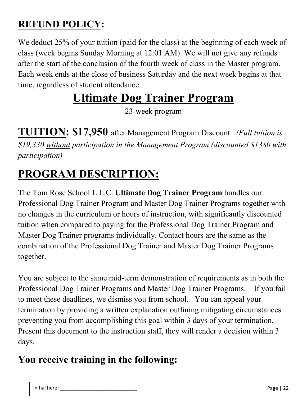#### **REFUND POLICY:**

We deduct 25% of your tuition (paid for the class) at the beginning of each week of class (week begins Sunday Morning at 12:01 AM). We will not give any refunds after the start of the conclusion of the fourth week of class in the Master program. Each week ends at the close of business Saturday and the next week begins at that time, regardless of student attendance.

### **Ultimate Dog Trainer Program**

23-week program

**TUITION: \$17,950** after Management Program Discount. *(Full tuition is \$19,330 without participation in the Management Program (discounted \$1380 with participation)*

### **PROGRAM DESCRIPTION:**

The Tom Rose School L.L.C. **Ultimate Dog Trainer Program** bundles our Professional Dog Trainer Program and Master Dog Trainer Programs together with no changes in the curriculum or hours of instruction, with significantly discounted tuition when compared to paying for the Professional Dog Trainer Program and Master Dog Trainer programs individually. Contact hours are the same as the combination of the Professional Dog Trainer and Master Dog Trainer Programs together.

You are subject to the same mid-term demonstration of requirements as in both the Professional Dog Trainer Programs and Master Dog Trainer Programs. If you fail to meet these deadlines, we dismiss you from school. You can appeal your termination by providing a written explanation outlining mitigating circumstances preventing you from accomplishing this goal within 3 days of your termination. Present this document to the instruction staff, they will render a decision within 3 days.

#### **You receive training in the following:**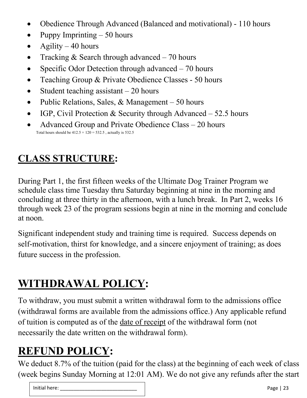- Obedience Through Advanced (Balanced and motivational) 110 hours
- Puppy Imprinting  $-50$  hours
- Agility  $-40$  hours
- Tracking & Search through advanced  $-70$  hours
- Specific Odor Detection through advanced  $-70$  hours
- Teaching Group & Private Obedience Classes 50 hours
- Student teaching assistant  $-20$  hours
- Public Relations, Sales, & Management  $-50$  hours
- IGP, Civil Protection & Security through Advanced  $-52.5$  hours
- Advanced Group and Private Obedience Class 20 hours Total hours should be  $412.5 + 120 = 532.5$ , actually is 532.5

#### **CLASS STRUCTURE:**

During Part 1, the first fifteen weeks of the Ultimate Dog Trainer Program we schedule class time Tuesday thru Saturday beginning at nine in the morning and concluding at three thirty in the afternoon, with a lunch break. In Part 2, weeks 16 through week 23 of the program sessions begin at nine in the morning and conclude at noon.

Significant independent study and training time is required. Success depends on self-motivation, thirst for knowledge, and a sincere enjoyment of training; as does future success in the profession.

### **WITHDRAWAL POLICY:**

To withdraw, you must submit a written withdrawal form to the admissions office (withdrawal forms are available from the admissions office.) Any applicable refund of tuition is computed as of the date of receipt of the withdrawal form (not necessarily the date written on the withdrawal form).

### **REFUND POLICY:**

We deduct 8.7% of the tuition (paid for the class) at the beginning of each week of class (week begins Sunday Morning at 12:01 AM). We do not give any refunds after the start

| Initial here:<br>______________ | $D_{\mathcal{A}}$<br><u>_</u><br>ים שי<br>__ |
|---------------------------------|----------------------------------------------|
|                                 |                                              |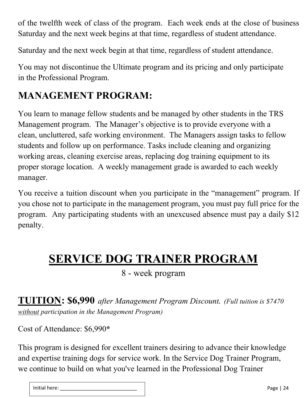of the twelfth week of class of the program. Each week ends at the close of business Saturday and the next week begins at that time, regardless of student attendance.

Saturday and the next week begin at that time, regardless of student attendance.

You may not discontinue the Ultimate program and its pricing and only participate in the Professional Program.

#### **MANAGEMENT PROGRAM:**

You learn to manage fellow students and be managed by other students in the TRS Management program. The Manager's objective is to provide everyone with a clean, uncluttered, safe working environment. The Managers assign tasks to fellow students and follow up on performance. Tasks include cleaning and organizing working areas, cleaning exercise areas, replacing dog training equipment to its proper storage location. A weekly management grade is awarded to each weekly manager.

You receive a tuition discount when you participate in the "management" program. If you chose not to participate in the management program, you must pay full price for the program. Any participating students with an unexcused absence must pay a daily \$12 penalty.

### **SERVICE DOG TRAINER PROGRAM**

8 - week program

**TUITION: \$6,990** *after Management Program Discount. (Full tuition is \$7470 without participation in the Management Program)*

Cost of Attendance: \$6,990**\***

This program is designed for excellent trainers desiring to advance their knowledge and expertise training dogs for service work. In the Service Dog Trainer Program, we continue to build on what you've learned in the Professional Dog Trainer

| .<br>Page<br>here<br>. . |
|--------------------------|
|--------------------------|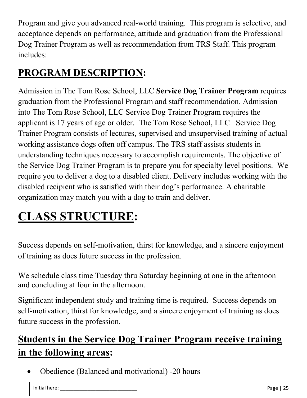Program and give you advanced real-world training. This program is selective, and acceptance depends on performance, attitude and graduation from the Professional Dog Trainer Program as well as recommendation from TRS Staff. This program includes:

### **PROGRAM DESCRIPTION:**

Admission in The Tom Rose School, LLC **Service Dog Trainer Program** requires graduation from the Professional Program and staff recommendation. Admission into The Tom Rose School, LLC Service Dog Trainer Program requires the applicant is 17 years of age or older. The Tom Rose School, LLC Service Dog Trainer Program consists of lectures, supervised and unsupervised training of actual working assistance dogs often off campus. The TRS staff assists students in understanding techniques necessary to accomplish requirements. The objective of the Service Dog Trainer Program is to prepare you for specialty level positions. We require you to deliver a dog to a disabled client. Delivery includes working with the disabled recipient who is satisfied with their dog's performance. A charitable organization may match you with a dog to train and deliver.

## **CLASS STRUCTURE:**

Success depends on self-motivation, thirst for knowledge, and a sincere enjoyment of training as does future success in the profession.

We schedule class time Tuesday thru Saturday beginning at one in the afternoon and concluding at four in the afternoon.

Significant independent study and training time is required. Success depends on self-motivation, thirst for knowledge, and a sincere enjoyment of training as does future success in the profession.

### **Students in the Service Dog Trainer Program receive training in the following areas:**

• Obedience (Balanced and motivational) -20 hours

| .<br>Initial here: |
|--------------------|
|--------------------|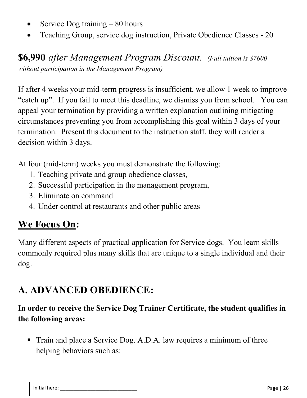- Service Dog training  $-80$  hours
- Teaching Group, service dog instruction, Private Obedience Classes 20

**\$6,990** *after Management Program Discount. (Full tuition is \$7600 without participation in the Management Program)*

If after 4 weeks your mid-term progress is insufficient, we allow 1 week to improve "catch up". If you fail to meet this deadline, we dismiss you from school. You can appeal your termination by providing a written explanation outlining mitigating circumstances preventing you from accomplishing this goal within 3 days of your termination. Present this document to the instruction staff, they will render a decision within 3 days.

At four (mid-term) weeks you must demonstrate the following:

- 1. Teaching private and group obedience classes,
- 2. Successful participation in the management program,
- 3. Eliminate on command
- 4. Under control at restaurants and other public areas

#### **We Focus On:**

Many different aspects of practical application for Service dogs. You learn skills commonly required plus many skills that are unique to a single individual and their dog.

#### **A. ADVANCED OBEDIENCE:**

#### **In order to receive the Service Dog Trainer Certificate, the student qualifies in the following areas:**

■ Train and place a Service Dog. A.D.A. law requires a minimum of three helping behaviors such as:

| Initial here: | .<br>agr<br>-- |
|---------------|----------------|
|               |                |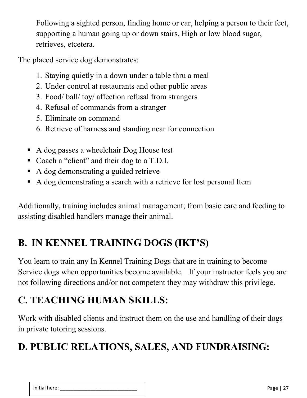Following a sighted person, finding home or car, helping a person to their feet, supporting a human going up or down stairs, High or low blood sugar, retrieves, etcetera.

The placed service dog demonstrates:

- 1. Staying quietly in a down under a table thru a meal
- 2. Under control at restaurants and other public areas
- 3. Food/ ball/ toy/ affection refusal from strangers
- 4. Refusal of commands from a stranger
- 5. Eliminate on command
- 6. Retrieve of harness and standing near for connection
- A dog passes a wheelchair Dog House test
- Coach a "client" and their dog to a T.D.I.
- A dog demonstrating a guided retrieve
- A dog demonstrating a search with a retrieve for lost personal Item

Additionally, training includes animal management; from basic care and feeding to assisting disabled handlers manage their animal.

### **B. IN KENNEL TRAINING DOGS (IKT'S)**

You learn to train any In Kennel Training Dogs that are in training to become Service dogs when opportunities become available. If your instructor feels you are not following directions and/or not competent they may withdraw this privilege.

### **C. TEACHING HUMAN SKILLS:**

Work with disabled clients and instruct them on the use and handling of their dogs in private tutoring sessions.

### **D. PUBLIC RELATIONS, SALES, AND FUNDRAISING:**

| .<br>______________ | `~~<br>--<br>٠o٠ |
|---------------------|------------------|
|                     |                  |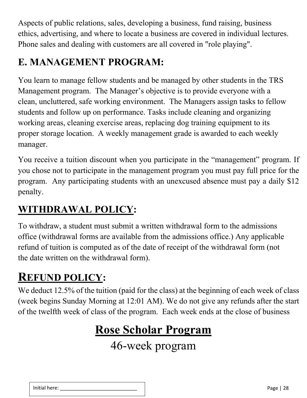Aspects of public relations, sales, developing a business, fund raising, business ethics, advertising, and where to locate a business are covered in individual lectures. Phone sales and dealing with customers are all covered in "role playing".

#### **E. MANAGEMENT PROGRAM:**

You learn to manage fellow students and be managed by other students in the TRS Management program. The Manager's objective is to provide everyone with a clean, uncluttered, safe working environment. The Managers assign tasks to fellow students and follow up on performance. Tasks include cleaning and organizing working areas, cleaning exercise areas, replacing dog training equipment to its proper storage location. A weekly management grade is awarded to each weekly manager.

You receive a tuition discount when you participate in the "management" program. If you chose not to participate in the management program you must pay full price for the program. Any participating students with an unexcused absence must pay a daily \$12 penalty.

#### **WITHDRAWAL POLICY:**

To withdraw, a student must submit a written withdrawal form to the admissions office (withdrawal forms are available from the admissions office.) Any applicable refund of tuition is computed as of the date of receipt of the withdrawal form (not the date written on the withdrawal form).

### **REFUND POLICY:**

We deduct 12.5% of the tuition (paid for the class) at the beginning of each week of class (week begins Sunday Morning at 12:01 AM). We do not give any refunds after the start of the twelfth week of class of the program. Each week ends at the close of business

## **Rose Scholar Program**

46-week program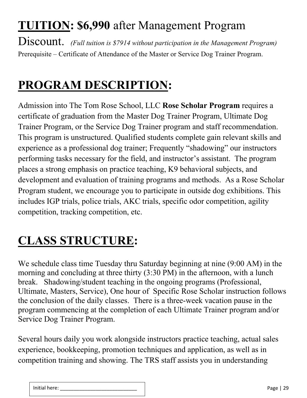## **TUITION: \$6,990** after Management Program

Discount. *(Full tuition is \$7914 without participation in the Management Program)* Prerequisite – Certificate of Attendance of the Master or Service Dog Trainer Program.

### **PROGRAM DESCRIPTION:**

Admission into The Tom Rose School, LLC **Rose Scholar Program** requires a certificate of graduation from the Master Dog Trainer Program, Ultimate Dog Trainer Program, or the Service Dog Trainer program and staff recommendation. This program is unstructured. Qualified students complete gain relevant skills and experience as a professional dog trainer; Frequently "shadowing" our instructors performing tasks necessary for the field, and instructor's assistant. The program places a strong emphasis on practice teaching, K9 behavioral subjects, and development and evaluation of training programs and methods. As a Rose Scholar Program student, we encourage you to participate in outside dog exhibitions. This includes IGP trials, police trials, AKC trials, specific odor competition, agility competition, tracking competition, etc.

## **CLASS STRUCTURE:**

We schedule class time Tuesday thru Saturday beginning at nine (9:00 AM) in the morning and concluding at three thirty (3:30 PM) in the afternoon, with a lunch break. Shadowing/student teaching in the ongoing programs (Professional, Ultimate, Masters, Service), One hour of Specific Rose Scholar instruction follows the conclusion of the daily classes. There is a three-week vacation pause in the program commencing at the completion of each Ultimate Trainer program and/or Service Dog Trainer Program.

Several hours daily you work alongside instructors practice teaching, actual sales experience, bookkeeping, promotion techniques and application, as well as in competition training and showing. The TRS staff assists you in understanding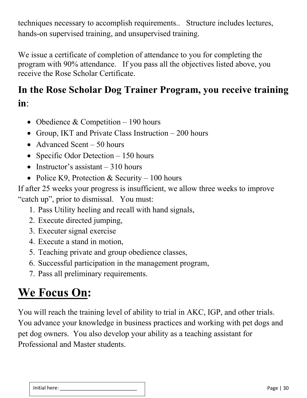techniques necessary to accomplish requirements.. Structure includes lectures, hands-on supervised training, and unsupervised training.

We issue a certificate of completion of attendance to you for completing the program with 90% attendance. If you pass all the objectives listed above, you receive the Rose Scholar Certificate.

#### **In the Rose Scholar Dog Trainer Program, you receive training in**:

- Obedience & Competition  $-190$  hours
- Group, IKT and Private Class Instruction 200 hours
- Advanced Scent 50 hours
- Specific Odor Detection 150 hours
- Instructor's assistant  $-310$  hours
- Police K9, Protection & Security 100 hours

If after 25 weeks your progress is insufficient, we allow three weeks to improve "catch up", prior to dismissal. You must:

- 1. Pass Utility heeling and recall with hand signals,
- 2. Execute directed jumping,
- 3. Executer signal exercise
- 4. Execute a stand in motion,
- 5. Teaching private and group obedience classes,
- 6. Successful participation in the management program,
- 7. Pass all preliminary requirements.

## **We Focus On:**

You will reach the training level of ability to trial in AKC, IGP, and other trials. You advance your knowledge in business practices and working with pet dogs and pet dog owners. You also develop your ability as a teaching assistant for Professional and Master students.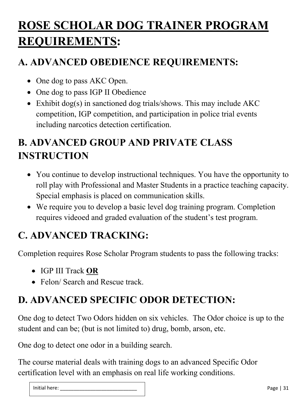## **ROSE SCHOLAR DOG TRAINER PROGRAM REQUIREMENTS:**

#### **A. ADVANCED OBEDIENCE REQUIREMENTS:**

- One dog to pass AKC Open.
- One dog to pass IGP II Obedience
- Exhibit dog(s) in sanctioned dog trials/shows. This may include AKC competition, IGP competition, and participation in police trial events including narcotics detection certification.

### **B. ADVANCED GROUP AND PRIVATE CLASS INSTRUCTION**

- You continue to develop instructional techniques. You have the opportunity to roll play with Professional and Master Students in a practice teaching capacity. Special emphasis is placed on communication skills.
- We require you to develop a basic level dog training program. Completion requires videoed and graded evaluation of the student's test program.

#### **C. ADVANCED TRACKING:**

Completion requires Rose Scholar Program students to pass the following tracks:

- IGP III Track **OR**
- Felon/ Search and Rescue track.

### **D. ADVANCED SPECIFIC ODOR DETECTION:**

One dog to detect Two Odors hidden on six vehicles. The Odor choice is up to the student and can be; (but is not limited to) drug, bomb, arson, etc.

One dog to detect one odor in a building search.

The course material deals with training dogs to an advanced Specific Odor certification level with an emphasis on real life working conditions.

| . . | --<br>.,<br>. . |
|-----|-----------------|
|     |                 |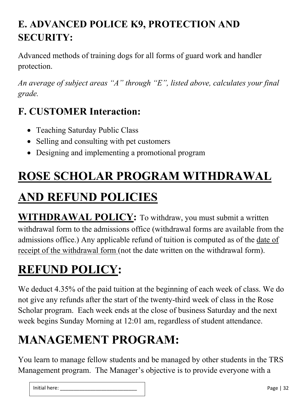### **E. ADVANCED POLICE K9, PROTECTION AND SECURITY:**

Advanced methods of training dogs for all forms of guard work and handler protection.

*An average of subject areas "A" through "E", listed above, calculates your final grade.*

### **F. CUSTOMER Interaction:**

- Teaching Saturday Public Class
- Selling and consulting with pet customers
- Designing and implementing a promotional program

# **ROSE SCHOLAR PROGRAM WITHDRAWAL AND REFUND POLICIES**

**WITHDRAWAL POLICY:** To withdraw, you must submit a written withdrawal form to the admissions office (withdrawal forms are available from the admissions office.) Any applicable refund of tuition is computed as of the date of receipt of the withdrawal form (not the date written on the withdrawal form).

# **REFUND POLICY:**

We deduct 4.35% of the paid tuition at the beginning of each week of class. We do not give any refunds after the start of the twenty-third week of class in the Rose Scholar program. Each week ends at the close of business Saturday and the next week begins Sunday Morning at 12:01 am, regardless of student attendance.

# **MANAGEMENT PROGRAM:**

You learn to manage fellow students and be managed by other students in the TRS Management program. The Manager's objective is to provide everyone with a

| .<br>$\sim$<br>. ner<br>-<br>_____ |
|------------------------------------|
|------------------------------------|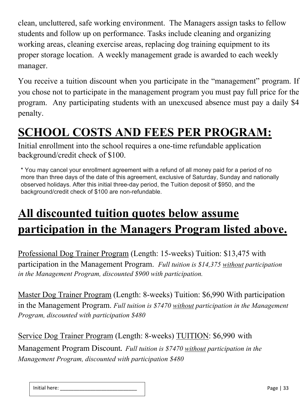clean, uncluttered, safe working environment. The Managers assign tasks to fellow students and follow up on performance. Tasks include cleaning and organizing working areas, cleaning exercise areas, replacing dog training equipment to its proper storage location. A weekly management grade is awarded to each weekly manager.

You receive a tuition discount when you participate in the "management" program. If you chose not to participate in the management program you must pay full price for the program. Any participating students with an unexcused absence must pay a daily \$4 penalty.

### **SCHOOL COSTS AND FEES PER PROGRAM:**

Initial enrollment into the school requires a one-time refundable application background/credit check of \$100.

\* You may cancel your enrollment agreement with a refund of all money paid for a period of no more than three days of the date of this agreement, exclusive of Saturday, Sunday and nationally observed holidays. After this initial three-day period, the Tuition deposit of \$950, and the background/credit check of \$100 are non-refundable.

## **All discounted tuition quotes below assume participation in the Managers Program listed above.**

Professional Dog Trainer Program (Length: 15-weeks) Tuition: \$13,475 with participation in the Management Program. *Full tuition is \$14,375 without participation in the Management Program, discounted \$900 with participation.*

Master Dog Trainer Program (Length: 8-weeks) Tuition: \$6,990 With participation in the Management Program. *Full tuition is \$7470 without participation in the Management Program, discounted with participation \$480*

Service Dog Trainer Program (Length: 8-weeks) TUITION: \$6,990 with Management Program Discount*. Full tuition is \$7470 without participation in the Management Program, discounted with participation \$480*

| Initial here: | $\sim$<br>Page |
|---------------|----------------|
|               |                |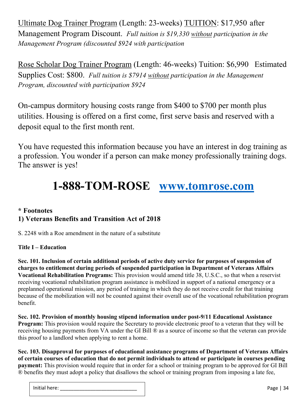Ultimate Dog Trainer Program (Length: 23-weeks) TUITION: \$17,950 after Management Program Discount. *Full tuition is \$19,330 without participation in the Management Program (discounted \$924 with participation*

Rose Scholar Dog Trainer Program (Length: 46-weeks) Tuition: \$6,990 Estimated Supplies Cost: \$800. *Full tuition is \$7914 without participation in the Management Program, discounted with participation \$924*

On-campus dormitory housing costs range from \$400 to \$700 per month plus utilities. Housing is offered on a first come, first serve basis and reserved with a deposit equal to the first month rent.

You have requested this information because you have an interest in dog training as a profession. You wonder if a person can make money professionally training dogs. The answer is yes!

### **1-888-TOM-ROSE www.tomrose.com**

#### **\* Footnotes 1) Veterans Benefits and Transition Act of 2018**

S. 2248 with a Roe amendment in the nature of a substitute

#### **Title I – Education**

**Sec. 101. Inclusion of certain additional periods of active duty service for purposes of suspension of charges to entitlement during periods of suspended participation in Department of Veterans Affairs Vocational Rehabilitation Programs:** This provision would amend title 38, U.S.C., so that when a reservist receiving vocational rehabilitation program assistance is mobilized in support of a national emergency or a preplanned operational mission, any period of training in which they do not receive credit for that training because of the mobilization will not be counted against their overall use of the vocational rehabilitation program benefit.

**Sec. 102. Provision of monthly housing stipend information under post-9/11 Educational Assistance Program:** This provision would require the Secretary to provide electronic proof to a veteran that they will be receiving housing payments from VA under the GI Bill ® as a source of income so that the veteran can provide this proof to a landlord when applying to rent a home.

**Sec. 103. Disapproval for purposes of educational assistance programs of Department of Veterans Affairs of certain courses of education that do not permit individuals to attend or participate in courses pending payment:** This provision would require that in order for a school or training program to be approved for GI Bill ® benefits they must adopt a policy that disallows the school or training program from imposing a late fee,